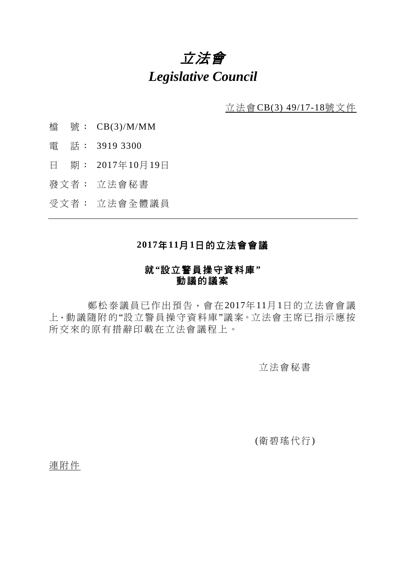# 立法會 *Legislative Council*

立法會CB(3) 49/17-18號文件

- 檔 號: CB(3)/M/MM
- 電 話: 3919 3300
- 日 期: 2017年10月19日
- 發文者: 立法會秘書
- 受文者: 立法會全體議員

# **2017**年**11**月**1**日的立法會會議

## 就**"**設立警員操守資料庫**"** 動議的議案

鄭松泰議員已作出預告,會在2017年11月1日的立法會會議 上,動議隨附的"設立警員操守資料庫"議案。立法會主席已指示應按 所交來的原有措辭印載在立法會議程上。

## 立法會秘書

(衛碧瑤代行)

連附件